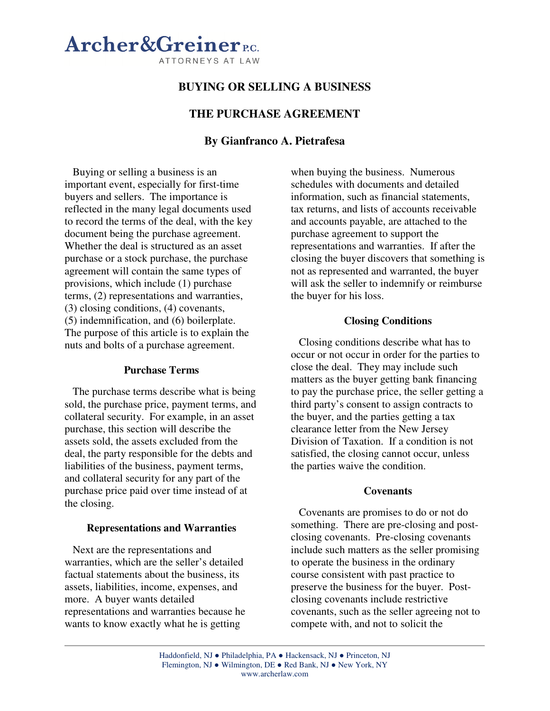

# **BUYING OR SELLING A BUSINESS**

# **THE PURCHASE AGREEMENT**

# **By Gianfranco A. Pietrafesa**

Buying or selling a business is an important event, especially for first-time buyers and sellers. The importance is reflected in the many legal documents used to record the terms of the deal, with the key document being the purchase agreement. Whether the deal is structured as an asset purchase or a stock purchase, the purchase agreement will contain the same types of provisions, which include (1) purchase terms, (2) representations and warranties, (3) closing conditions, (4) covenants, (5) indemnification, and (6) boilerplate. The purpose of this article is to explain the nuts and bolts of a purchase agreement.

## **Purchase Terms**

The purchase terms describe what is being sold, the purchase price, payment terms, and collateral security. For example, in an asset purchase, this section will describe the assets sold, the assets excluded from the deal, the party responsible for the debts and liabilities of the business, payment terms, and collateral security for any part of the purchase price paid over time instead of at the closing.

#### **Representations and Warranties**

Next are the representations and warranties, which are the seller's detailed factual statements about the business, its assets, liabilities, income, expenses, and more. A buyer wants detailed representations and warranties because he wants to know exactly what he is getting

when buying the business. Numerous schedules with documents and detailed information, such as financial statements, tax returns, and lists of accounts receivable and accounts payable, are attached to the purchase agreement to support the representations and warranties. If after the closing the buyer discovers that something is not as represented and warranted, the buyer will ask the seller to indemnify or reimburse the buyer for his loss.

### **Closing Conditions**

Closing conditions describe what has to occur or not occur in order for the parties to close the deal. They may include such matters as the buyer getting bank financing to pay the purchase price, the seller getting a third party's consent to assign contracts to the buyer, and the parties getting a tax clearance letter from the New Jersey Division of Taxation. If a condition is not satisfied, the closing cannot occur, unless the parties waive the condition.

#### **Covenants**

Covenants are promises to do or not do something. There are pre-closing and postclosing covenants. Pre-closing covenants include such matters as the seller promising to operate the business in the ordinary course consistent with past practice to preserve the business for the buyer. Postclosing covenants include restrictive covenants, such as the seller agreeing not to compete with, and not to solicit the